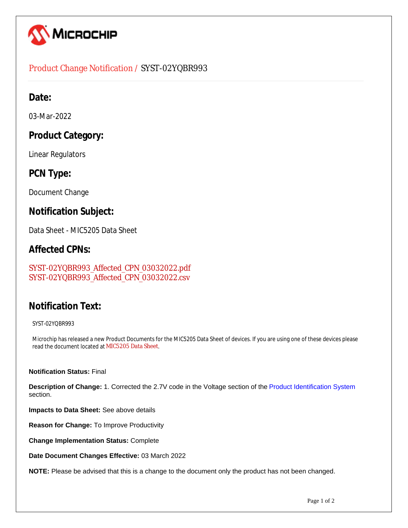

#### Product Change Notification / SYST-02YQBR993

## **Date:**

03-Mar-2022

## **Product Category:**

Linear Regulators

## **PCN Type:**

Document Change

#### **Notification Subject:**

Data Sheet - MIC5205 Data Sheet

#### **Affected CPNs:**

[SYST-02YQBR993\\_Affected\\_CPN\\_03032022.pdf](https://www.microchip.com/mymicrochipapi/api/pcn/DownloadPcnDocument?pcnId=17526&affectedcpns=pdf) [SYST-02YQBR993\\_Affected\\_CPN\\_03032022.csv](https://www.microchip.com/mymicrochipapi/api/pcn/DownloadPcnDocument?pcnId=17526&affectedcpns=xls)

# **Notification Text:**

SYST-02YQBR993

Microchip has released a new Product Documents for the MIC5205 Data Sheet of devices. If you are using one of these devices please read the document located at [MIC5205 Data Sheet](https://www.microchip.com/webdata/api/Document/DownloadDocumentsForFileHandlerByContentId?contentId=en579613).

#### **Notification Status:** Final

**Description of Change:** 1. Corrected the 2.7V code in the Voltage section of the Product Identification System section.

**Impacts to Data Sheet:** See above details

**Reason for Change:** To Improve Productivity

**Change Implementation Status:** Complete

**Date Document Changes Effective:** 03 March 2022

**NOTE:** Please be advised that this is a change to the document only the product has not been changed.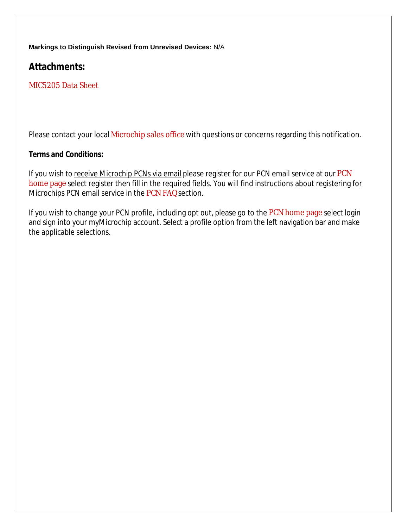**Markings to Distinguish Revised from Unrevised Devices:** N/A

**Attachments:** 

[MIC5205 Data Sheet](https://www.microchip.com/webdata/api/Document/DownloadDocumentsForFileHandlerByContentId?contentId=en579613)

Please contact your local [Microchip sales office](http://www.microchip.com/distributors/SalesHome.aspx) with questions or concerns regarding this notification.

#### **Terms and Conditions:**

If you wish to receive Microchip PCNs via email please register for our [PCN](http://www.microchip.com/pcn) email service at our PCN [home page](http://www.microchip.com/pcn) select register then fill in the required fields. You will find instructions about registering for Microchips PCN email service in the [PCN FAQ](http://www.microchip.com/pcn/faqs) section.

If you wish to change your PCN profile, including opt out, please go to the [PCN home page](http://www.microchip.com/pcn) select login and sign into your myMicrochip account. Select a profile option from the left navigation bar and make the applicable selections.